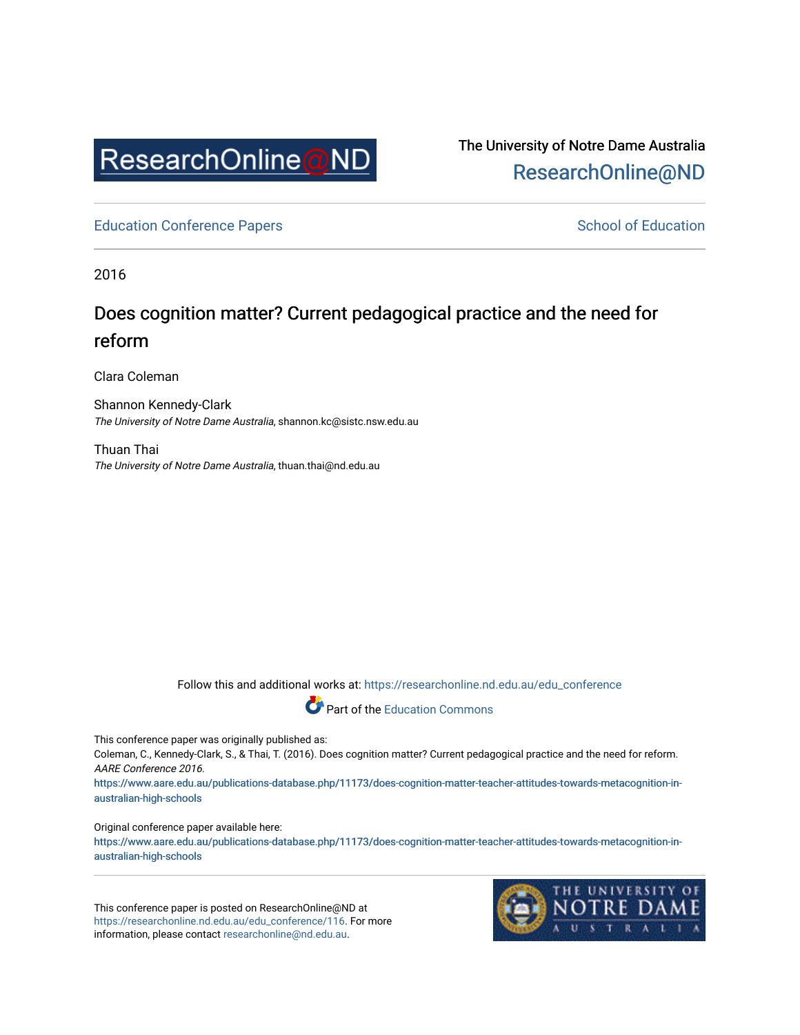

The University of Notre Dame Australia [ResearchOnline@ND](https://researchonline.nd.edu.au/) 

[Education Conference Papers](https://researchonline.nd.edu.au/edu_conference) **School of Education** School of Education

2016

# Does cognition matter? Current pedagogical practice and the need for reform

Clara Coleman

Shannon Kennedy-Clark The University of Notre Dame Australia, shannon.kc@sistc.nsw.edu.au

Thuan Thai The University of Notre Dame Australia, thuan.thai@nd.edu.au

Follow this and additional works at: [https://researchonline.nd.edu.au/edu\\_conference](https://researchonline.nd.edu.au/edu_conference?utm_source=researchonline.nd.edu.au%2Fedu_conference%2F116&utm_medium=PDF&utm_campaign=PDFCoverPages)



This conference paper was originally published as:

Coleman, C., Kennedy-Clark, S., & Thai, T. (2016). Does cognition matter? Current pedagogical practice and the need for reform. AARE Conference 2016.

https://www.aar[e.edu.au/publications-database.php/11173/does-cognition-matter-teacher-attitudes-towards-metacognition-in](https://www.aare.edu.au/publications-database.php/11173/does-cognition-matter-teacher-attitudes-towards-metacognition-in-australian-high-schools) [australian-high-schools](https://www.aare.edu.au/publications-database.php/11173/does-cognition-matter-teacher-attitudes-towards-metacognition-in-australian-high-schools) 

Original conference paper available here:

https://www.aar[e.edu.au/publications-database.php/11173/does-cognition-matter-teacher-attitudes-towards-metacognition-in](https://www.aare.edu.au/publications-database.php/11173/does-cognition-matter-teacher-attitudes-towards-metacognition-in-australian-high-schools) [australian-high-schools](https://www.aare.edu.au/publications-database.php/11173/does-cognition-matter-teacher-attitudes-towards-metacognition-in-australian-high-schools) 

This conference paper is posted on ResearchOnline@ND at [https://researchonline.nd.edu.au/edu\\_conference/116](https://researchonline.nd.edu.au/edu_conference/116). For more information, please contact [researchonline@nd.edu.au.](mailto:researchonline@nd.edu.au)

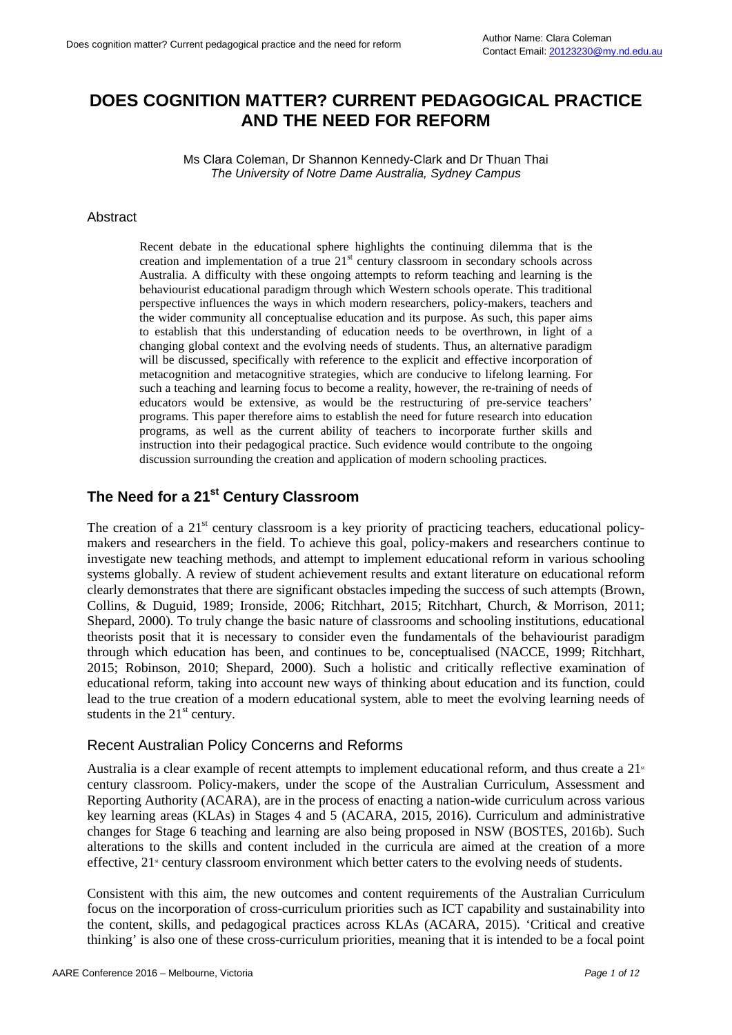# **DOES COGNITION MATTER? CURRENT PEDAGOGICAL PRACTICE AND THE NEED FOR REFORM**

Ms Clara Coleman, Dr Shannon Kennedy-Clark and Dr Thuan Thai *The University of Notre Dame Australia, Sydney Campus*

#### **Abstract**

Recent debate in the educational sphere highlights the continuing dilemma that is the creation and implementation of a true 21<sup>st</sup> century classroom in secondary schools across Australia. A difficulty with these ongoing attempts to reform teaching and learning is the behaviourist educational paradigm through which Western schools operate. This traditional perspective influences the ways in which modern researchers, policy-makers, teachers and the wider community all conceptualise education and its purpose. As such, this paper aims to establish that this understanding of education needs to be overthrown, in light of a changing global context and the evolving needs of students. Thus, an alternative paradigm will be discussed, specifically with reference to the explicit and effective incorporation of metacognition and metacognitive strategies, which are conducive to lifelong learning. For such a teaching and learning focus to become a reality, however, the re-training of needs of educators would be extensive, as would be the restructuring of pre-service teachers' programs. This paper therefore aims to establish the need for future research into education programs, as well as the current ability of teachers to incorporate further skills and instruction into their pedagogical practice. Such evidence would contribute to the ongoing discussion surrounding the creation and application of modern schooling practices.

# **The Need for a 21st Century Classroom**

The creation of a 21<sup>st</sup> century classroom is a key priority of practicing teachers, educational policymakers and researchers in the field. To achieve this goal, policy-makers and researchers continue to investigate new teaching methods, and attempt to implement educational reform in various schooling systems globally. A review of student achievement results and extant literature on educational reform clearly demonstrates that there are significant obstacles impeding the success of such attempts (Brown, Collins, & Duguid, 1989; Ironside, 2006; Ritchhart, 2015; Ritchhart, Church, & Morrison, 2011; Shepard, 2000). To truly change the basic nature of classrooms and schooling institutions, educational theorists posit that it is necessary to consider even the fundamentals of the behaviourist paradigm through which education has been, and continues to be, conceptualised (NACCE, 1999; Ritchhart, 2015; Robinson, 2010; Shepard, 2000). Such a holistic and critically reflective examination of educational reform, taking into account new ways of thinking about education and its function, could lead to the true creation of a modern educational system, able to meet the evolving learning needs of students in the  $21<sup>st</sup>$  century.

#### Recent Australian Policy Concerns and Reforms

Australia is a clear example of recent attempts to implement educational reform, and thus create a  $21<sup>*</sup>$ century classroom. Policy-makers, under the scope of the Australian Curriculum, Assessment and Reporting Authority (ACARA), are in the process of enacting a nation-wide curriculum across various key learning areas (KLAs) in Stages 4 and 5 (ACARA, 2015, 2016). Curriculum and administrative changes for Stage 6 teaching and learning are also being proposed in NSW (BOSTES, 2016b). Such alterations to the skills and content included in the curricula are aimed at the creation of a more effective, 21<sup>st</sup> century classroom environment which better caters to the evolving needs of students.

Consistent with this aim, the new outcomes and content requirements of the Australian Curriculum focus on the incorporation of cross-curriculum priorities such as ICT capability and sustainability into the content, skills, and pedagogical practices across KLAs (ACARA, 2015). 'Critical and creative thinking' is also one of these cross-curriculum priorities, meaning that it is intended to be a focal point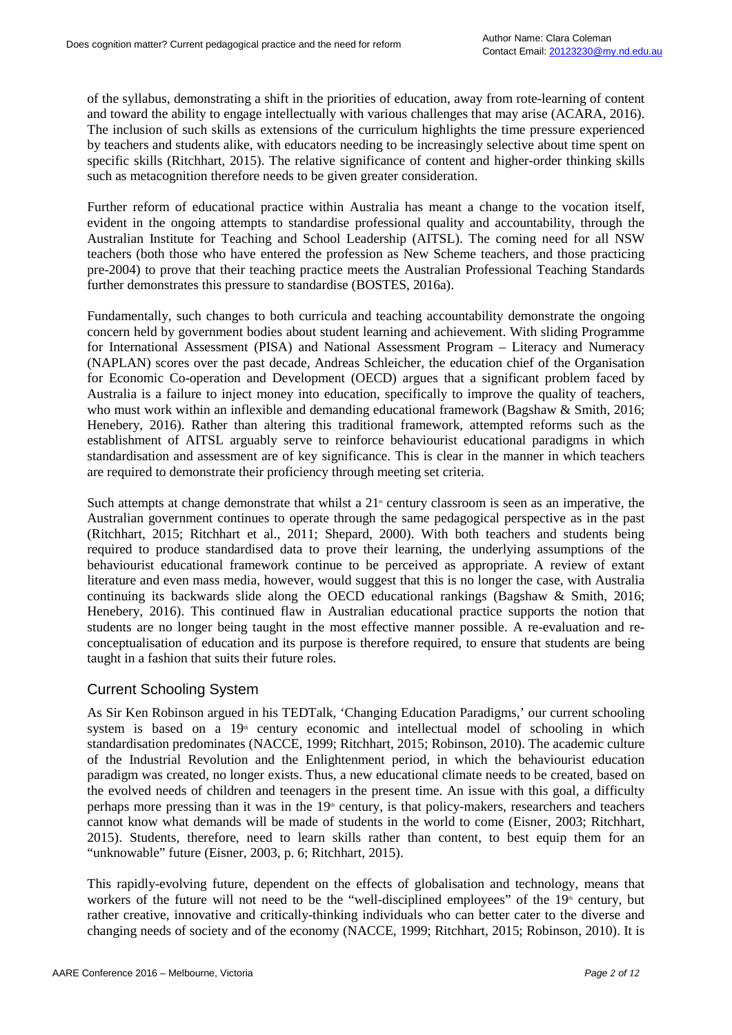of the syllabus, demonstrating a shift in the priorities of education, away from rote-learning of content and toward the ability to engage intellectually with various challenges that may arise (ACARA, 2016). The inclusion of such skills as extensions of the curriculum highlights the time pressure experienced by teachers and students alike, with educators needing to be increasingly selective about time spent on specific skills (Ritchhart, 2015). The relative significance of content and higher-order thinking skills such as metacognition therefore needs to be given greater consideration.

Further reform of educational practice within Australia has meant a change to the vocation itself, evident in the ongoing attempts to standardise professional quality and accountability, through the Australian Institute for Teaching and School Leadership (AITSL). The coming need for all NSW teachers (both those who have entered the profession as New Scheme teachers, and those practicing pre-2004) to prove that their teaching practice meets the Australian Professional Teaching Standards further demonstrates this pressure to standardise (BOSTES, 2016a).

Fundamentally, such changes to both curricula and teaching accountability demonstrate the ongoing concern held by government bodies about student learning and achievement. With sliding Programme for International Assessment (PISA) and National Assessment Program – Literacy and Numeracy (NAPLAN) scores over the past decade, Andreas Schleicher, the education chief of the Organisation for Economic Co-operation and Development (OECD) argues that a significant problem faced by Australia is a failure to inject money into education, specifically to improve the quality of teachers, who must work within an inflexible and demanding educational framework (Bagshaw & Smith, 2016; Henebery, 2016). Rather than altering this traditional framework, attempted reforms such as the establishment of AITSL arguably serve to reinforce behaviourist educational paradigms in which standardisation and assessment are of key significance. This is clear in the manner in which teachers are required to demonstrate their proficiency through meeting set criteria.

Such attempts at change demonstrate that whilst a  $21<sup>s</sup>$  century classroom is seen as an imperative, the Australian government continues to operate through the same pedagogical perspective as in the past (Ritchhart, 2015; Ritchhart et al., 2011; Shepard, 2000). With both teachers and students being required to produce standardised data to prove their learning, the underlying assumptions of the behaviourist educational framework continue to be perceived as appropriate. A review of extant literature and even mass media, however, would suggest that this is no longer the case, with Australia continuing its backwards slide along the OECD educational rankings (Bagshaw & Smith, 2016; Henebery, 2016). This continued flaw in Australian educational practice supports the notion that students are no longer being taught in the most effective manner possible. A re-evaluation and reconceptualisation of education and its purpose is therefore required, to ensure that students are being taught in a fashion that suits their future roles.

#### Current Schooling System

As Sir Ken Robinson argued in his TEDTalk, 'Changing Education Paradigms,' our current schooling system is based on a  $19<sup>th</sup>$  century economic and intellectual model of schooling in which standardisation predominates (NACCE, 1999; Ritchhart, 2015; Robinson, 2010). The academic culture of the Industrial Revolution and the Enlightenment period, in which the behaviourist education paradigm was created, no longer exists. Thus, a new educational climate needs to be created, based on the evolved needs of children and teenagers in the present time. An issue with this goal, a difficulty perhaps more pressing than it was in the  $19<sup>th</sup>$  century, is that policy-makers, researchers and teachers cannot know what demands will be made of students in the world to come (Eisner, 2003; Ritchhart, 2015). Students, therefore, need to learn skills rather than content, to best equip them for an "unknowable" future (Eisner, 2003, p. 6; Ritchhart, 2015).

This rapidly-evolving future, dependent on the effects of globalisation and technology, means that workers of the future will not need to be the "well-disciplined employees" of the  $19<sup>th</sup>$  century, but rather creative, innovative and critically-thinking individuals who can better cater to the diverse and changing needs of society and of the economy (NACCE, 1999; Ritchhart, 2015; Robinson, 2010). It is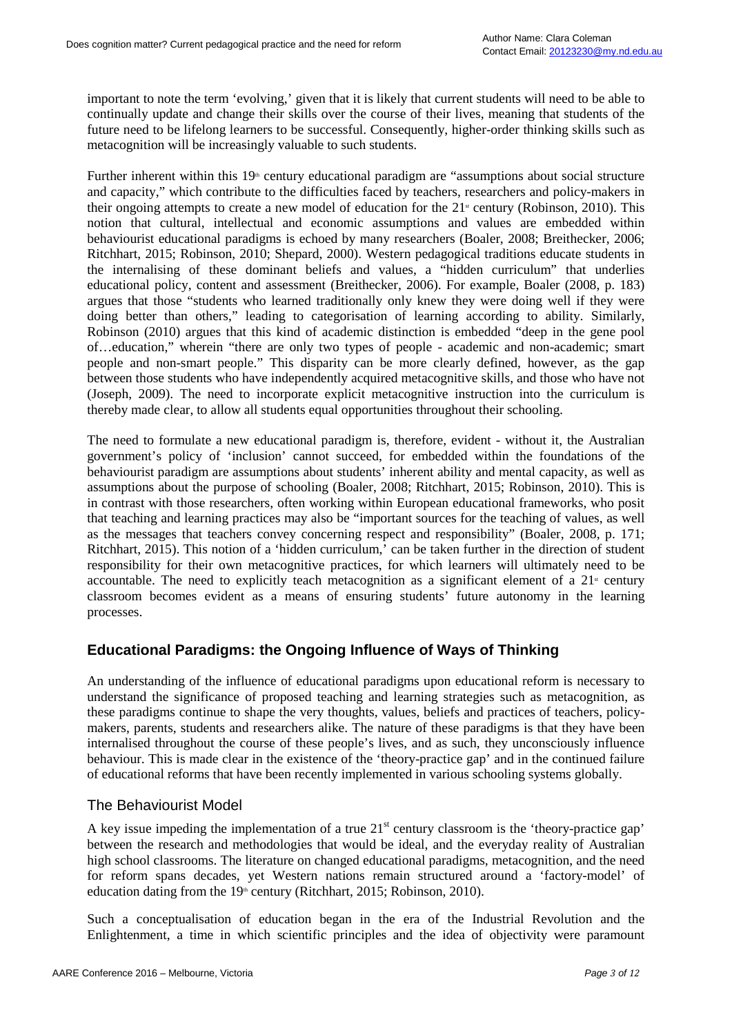important to note the term 'evolving,' given that it is likely that current students will need to be able to continually update and change their skills over the course of their lives, meaning that students of the future need to be lifelong learners to be successful. Consequently, higher-order thinking skills such as metacognition will be increasingly valuable to such students.

Further inherent within this  $19<sup>th</sup>$  century educational paradigm are "assumptions about social structure and capacity," which contribute to the difficulties faced by teachers, researchers and policy-makers in their ongoing attempts to create a new model of education for the  $21^{\circ}$  century (Robinson, 2010). This notion that cultural, intellectual and economic assumptions and values are embedded within behaviourist educational paradigms is echoed by many researchers (Boaler, 2008; Breithecker, 2006; Ritchhart, 2015; Robinson, 2010; Shepard, 2000). Western pedagogical traditions educate students in the internalising of these dominant beliefs and values, a "hidden curriculum" that underlies educational policy, content and assessment (Breithecker, 2006). For example, Boaler (2008, p. 183) argues that those "students who learned traditionally only knew they were doing well if they were doing better than others," leading to categorisation of learning according to ability. Similarly, Robinson (2010) argues that this kind of academic distinction is embedded "deep in the gene pool of…education," wherein "there are only two types of people - academic and non-academic; smart people and non-smart people." This disparity can be more clearly defined, however, as the gap between those students who have independently acquired metacognitive skills, and those who have not (Joseph, 2009). The need to incorporate explicit metacognitive instruction into the curriculum is thereby made clear, to allow all students equal opportunities throughout their schooling.

The need to formulate a new educational paradigm is, therefore, evident - without it, the Australian government's policy of 'inclusion' cannot succeed, for embedded within the foundations of the behaviourist paradigm are assumptions about students' inherent ability and mental capacity, as well as assumptions about the purpose of schooling (Boaler, 2008; Ritchhart, 2015; Robinson, 2010). This is in contrast with those researchers, often working within European educational frameworks, who posit that teaching and learning practices may also be "important sources for the teaching of values, as well as the messages that teachers convey concerning respect and responsibility" (Boaler, 2008, p. 171; Ritchhart, 2015). This notion of a 'hidden curriculum,' can be taken further in the direction of student responsibility for their own metacognitive practices, for which learners will ultimately need to be accountable. The need to explicitly teach metacognition as a significant element of a  $21<sup>s</sup>$  century classroom becomes evident as a means of ensuring students' future autonomy in the learning processes.

## **Educational Paradigms: the Ongoing Influence of Ways of Thinking**

An understanding of the influence of educational paradigms upon educational reform is necessary to understand the significance of proposed teaching and learning strategies such as metacognition, as these paradigms continue to shape the very thoughts, values, beliefs and practices of teachers, policymakers, parents, students and researchers alike. The nature of these paradigms is that they have been internalised throughout the course of these people's lives, and as such, they unconsciously influence behaviour. This is made clear in the existence of the 'theory-practice gap' and in the continued failure of educational reforms that have been recently implemented in various schooling systems globally.

#### The Behaviourist Model

A key issue impeding the implementation of a true  $21<sup>st</sup>$  century classroom is the 'theory-practice gap' between the research and methodologies that would be ideal, and the everyday reality of Australian high school classrooms. The literature on changed educational paradigms, metacognition, and the need for reform spans decades, yet Western nations remain structured around a 'factory-model' of education dating from the  $19<sup>th</sup>$  century (Ritchhart, 2015; Robinson, 2010).

Such a conceptualisation of education began in the era of the Industrial Revolution and the Enlightenment, a time in which scientific principles and the idea of objectivity were paramount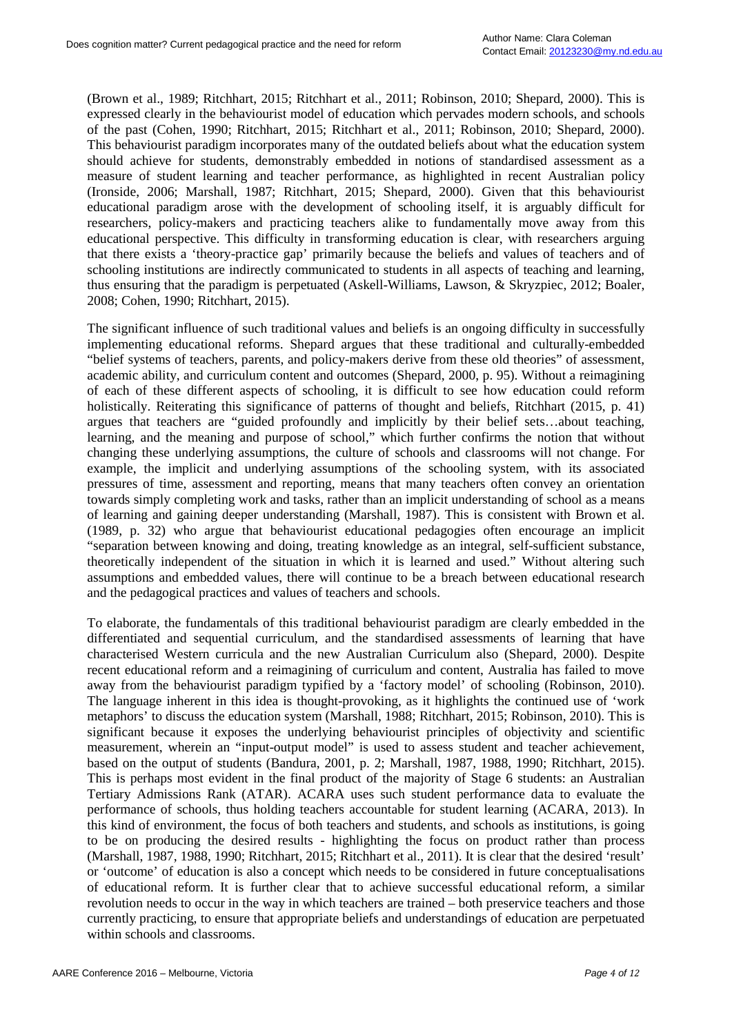(Brown et al., 1989; Ritchhart, 2015; Ritchhart et al., 2011; Robinson, 2010; Shepard, 2000). This is expressed clearly in the behaviourist model of education which pervades modern schools, and schools of the past (Cohen, 1990; Ritchhart, 2015; Ritchhart et al., 2011; Robinson, 2010; Shepard, 2000). This behaviourist paradigm incorporates many of the outdated beliefs about what the education system should achieve for students, demonstrably embedded in notions of standardised assessment as a measure of student learning and teacher performance, as highlighted in recent Australian policy (Ironside, 2006; Marshall, 1987; Ritchhart, 2015; Shepard, 2000). Given that this behaviourist educational paradigm arose with the development of schooling itself, it is arguably difficult for researchers, policy-makers and practicing teachers alike to fundamentally move away from this educational perspective. This difficulty in transforming education is clear, with researchers arguing that there exists a 'theory-practice gap' primarily because the beliefs and values of teachers and of schooling institutions are indirectly communicated to students in all aspects of teaching and learning, thus ensuring that the paradigm is perpetuated (Askell-Williams, Lawson, & Skryzpiec, 2012; Boaler, 2008; Cohen, 1990; Ritchhart, 2015).

The significant influence of such traditional values and beliefs is an ongoing difficulty in successfully implementing educational reforms. Shepard argues that these traditional and culturally-embedded "belief systems of teachers, parents, and policy-makers derive from these old theories" of assessment, academic ability, and curriculum content and outcomes (Shepard, 2000, p. 95). Without a reimagining of each of these different aspects of schooling, it is difficult to see how education could reform holistically. Reiterating this significance of patterns of thought and beliefs, Ritchhart (2015, p. 41) argues that teachers are "guided profoundly and implicitly by their belief sets…about teaching, learning, and the meaning and purpose of school," which further confirms the notion that without changing these underlying assumptions, the culture of schools and classrooms will not change. For example, the implicit and underlying assumptions of the schooling system, with its associated pressures of time, assessment and reporting, means that many teachers often convey an orientation towards simply completing work and tasks, rather than an implicit understanding of school as a means of learning and gaining deeper understanding (Marshall, 1987). This is consistent with Brown et al. (1989, p. 32) who argue that behaviourist educational pedagogies often encourage an implicit "separation between knowing and doing, treating knowledge as an integral, self-sufficient substance, theoretically independent of the situation in which it is learned and used." Without altering such assumptions and embedded values, there will continue to be a breach between educational research and the pedagogical practices and values of teachers and schools.

To elaborate, the fundamentals of this traditional behaviourist paradigm are clearly embedded in the differentiated and sequential curriculum, and the standardised assessments of learning that have characterised Western curricula and the new Australian Curriculum also (Shepard, 2000). Despite recent educational reform and a reimagining of curriculum and content, Australia has failed to move away from the behaviourist paradigm typified by a 'factory model' of schooling (Robinson, 2010). The language inherent in this idea is thought-provoking, as it highlights the continued use of 'work metaphors' to discuss the education system (Marshall, 1988; Ritchhart, 2015; Robinson, 2010). This is significant because it exposes the underlying behaviourist principles of objectivity and scientific measurement, wherein an "input-output model" is used to assess student and teacher achievement, based on the output of students (Bandura, 2001, p. 2; Marshall, 1987, 1988, 1990; Ritchhart, 2015). This is perhaps most evident in the final product of the majority of Stage 6 students: an Australian Tertiary Admissions Rank (ATAR). ACARA uses such student performance data to evaluate the performance of schools, thus holding teachers accountable for student learning (ACARA, 2013). In this kind of environment, the focus of both teachers and students, and schools as institutions, is going to be on producing the desired results - highlighting the focus on product rather than process (Marshall, 1987, 1988, 1990; Ritchhart, 2015; Ritchhart et al., 2011). It is clear that the desired 'result' or 'outcome' of education is also a concept which needs to be considered in future conceptualisations of educational reform. It is further clear that to achieve successful educational reform, a similar revolution needs to occur in the way in which teachers are trained – both preservice teachers and those currently practicing, to ensure that appropriate beliefs and understandings of education are perpetuated within schools and classrooms.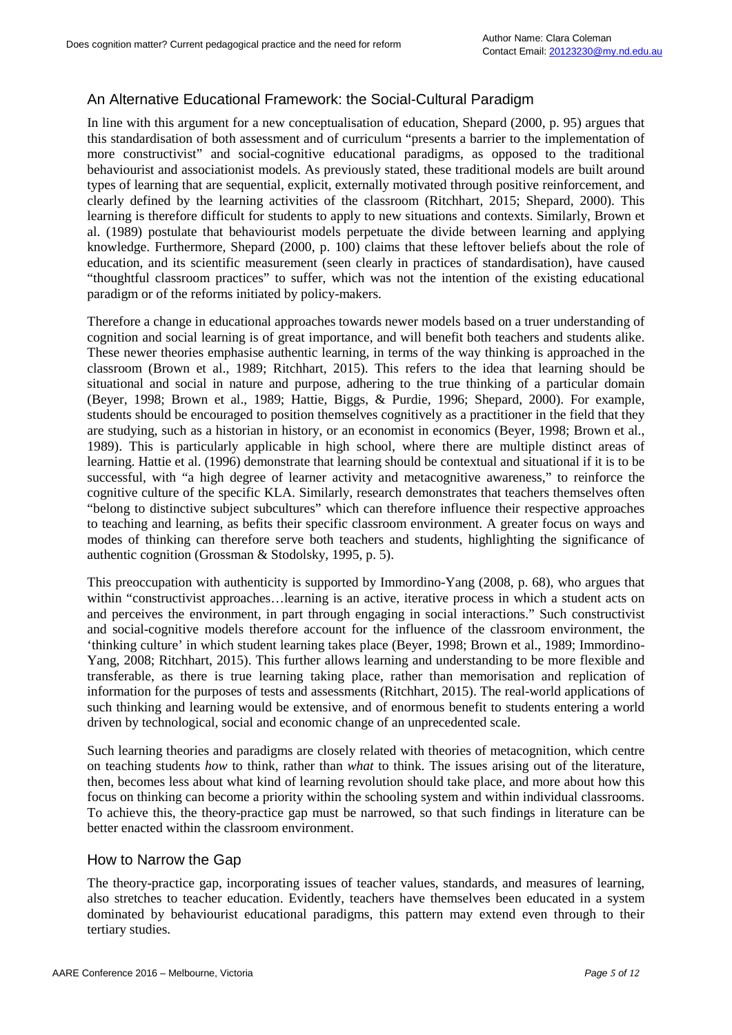# An Alternative Educational Framework: the Social-Cultural Paradigm

In line with this argument for a new conceptualisation of education, Shepard (2000, p. 95) argues that this standardisation of both assessment and of curriculum "presents a barrier to the implementation of more constructivist" and social-cognitive educational paradigms, as opposed to the traditional behaviourist and associationist models. As previously stated, these traditional models are built around types of learning that are sequential, explicit, externally motivated through positive reinforcement, and clearly defined by the learning activities of the classroom (Ritchhart, 2015; Shepard, 2000). This learning is therefore difficult for students to apply to new situations and contexts. Similarly, Brown et al. (1989) postulate that behaviourist models perpetuate the divide between learning and applying knowledge. Furthermore, Shepard (2000, p. 100) claims that these leftover beliefs about the role of education, and its scientific measurement (seen clearly in practices of standardisation), have caused "thoughtful classroom practices" to suffer, which was not the intention of the existing educational paradigm or of the reforms initiated by policy-makers.

Therefore a change in educational approaches towards newer models based on a truer understanding of cognition and social learning is of great importance, and will benefit both teachers and students alike. These newer theories emphasise authentic learning, in terms of the way thinking is approached in the classroom (Brown et al., 1989; Ritchhart, 2015). This refers to the idea that learning should be situational and social in nature and purpose, adhering to the true thinking of a particular domain (Beyer, 1998; Brown et al., 1989; Hattie, Biggs, & Purdie, 1996; Shepard, 2000). For example, students should be encouraged to position themselves cognitively as a practitioner in the field that they are studying, such as a historian in history, or an economist in economics (Beyer, 1998; Brown et al., 1989). This is particularly applicable in high school, where there are multiple distinct areas of learning. Hattie et al. (1996) demonstrate that learning should be contextual and situational if it is to be successful, with "a high degree of learner activity and metacognitive awareness," to reinforce the cognitive culture of the specific KLA. Similarly, research demonstrates that teachers themselves often "belong to distinctive subject subcultures" which can therefore influence their respective approaches to teaching and learning, as befits their specific classroom environment. A greater focus on ways and modes of thinking can therefore serve both teachers and students, highlighting the significance of authentic cognition (Grossman & Stodolsky, 1995, p. 5).

This preoccupation with authenticity is supported by Immordino-Yang (2008, p. 68), who argues that within "constructivist approaches…learning is an active, iterative process in which a student acts on and perceives the environment, in part through engaging in social interactions." Such constructivist and social-cognitive models therefore account for the influence of the classroom environment, the 'thinking culture' in which student learning takes place (Beyer, 1998; Brown et al., 1989; Immordino-Yang, 2008; Ritchhart, 2015). This further allows learning and understanding to be more flexible and transferable, as there is true learning taking place, rather than memorisation and replication of information for the purposes of tests and assessments (Ritchhart, 2015). The real-world applications of such thinking and learning would be extensive, and of enormous benefit to students entering a world driven by technological, social and economic change of an unprecedented scale.

Such learning theories and paradigms are closely related with theories of metacognition, which centre on teaching students *how* to think, rather than *what* to think. The issues arising out of the literature, then, becomes less about what kind of learning revolution should take place, and more about how this focus on thinking can become a priority within the schooling system and within individual classrooms. To achieve this, the theory-practice gap must be narrowed, so that such findings in literature can be better enacted within the classroom environment.

#### How to Narrow the Gap

The theory-practice gap, incorporating issues of teacher values, standards, and measures of learning, also stretches to teacher education. Evidently, teachers have themselves been educated in a system dominated by behaviourist educational paradigms, this pattern may extend even through to their tertiary studies.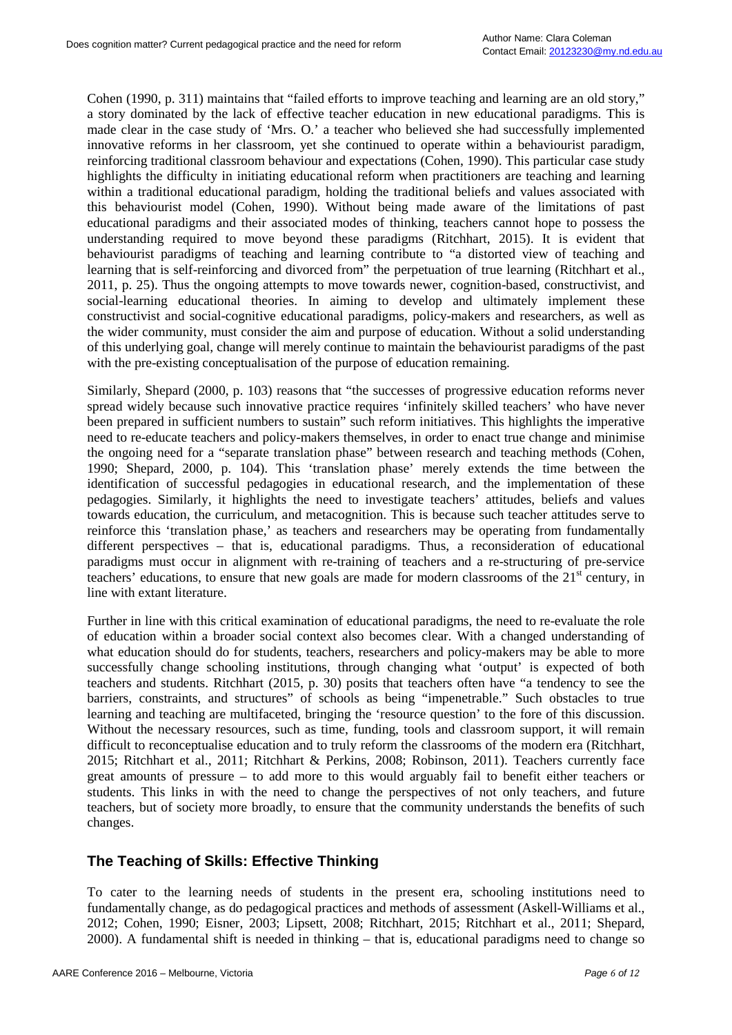Cohen (1990, p. 311) maintains that "failed efforts to improve teaching and learning are an old story," a story dominated by the lack of effective teacher education in new educational paradigms. This is made clear in the case study of 'Mrs. O.' a teacher who believed she had successfully implemented innovative reforms in her classroom, yet she continued to operate within a behaviourist paradigm, reinforcing traditional classroom behaviour and expectations (Cohen, 1990). This particular case study highlights the difficulty in initiating educational reform when practitioners are teaching and learning within a traditional educational paradigm, holding the traditional beliefs and values associated with this behaviourist model (Cohen, 1990). Without being made aware of the limitations of past educational paradigms and their associated modes of thinking, teachers cannot hope to possess the understanding required to move beyond these paradigms (Ritchhart, 2015). It is evident that behaviourist paradigms of teaching and learning contribute to "a distorted view of teaching and learning that is self-reinforcing and divorced from" the perpetuation of true learning (Ritchhart et al., 2011, p. 25). Thus the ongoing attempts to move towards newer, cognition-based, constructivist, and social-learning educational theories. In aiming to develop and ultimately implement these constructivist and social-cognitive educational paradigms, policy-makers and researchers, as well as the wider community, must consider the aim and purpose of education. Without a solid understanding of this underlying goal, change will merely continue to maintain the behaviourist paradigms of the past with the pre-existing conceptualisation of the purpose of education remaining.

Similarly, Shepard (2000, p. 103) reasons that "the successes of progressive education reforms never spread widely because such innovative practice requires 'infinitely skilled teachers' who have never been prepared in sufficient numbers to sustain" such reform initiatives. This highlights the imperative need to re-educate teachers and policy-makers themselves, in order to enact true change and minimise the ongoing need for a "separate translation phase" between research and teaching methods (Cohen, 1990; Shepard, 2000, p. 104). This 'translation phase' merely extends the time between the identification of successful pedagogies in educational research, and the implementation of these pedagogies. Similarly, it highlights the need to investigate teachers' attitudes, beliefs and values towards education, the curriculum, and metacognition. This is because such teacher attitudes serve to reinforce this 'translation phase,' as teachers and researchers may be operating from fundamentally different perspectives – that is, educational paradigms. Thus, a reconsideration of educational paradigms must occur in alignment with re-training of teachers and a re-structuring of pre-service teachers' educations, to ensure that new goals are made for modern classrooms of the  $21<sup>st</sup>$  century, in line with extant literature.

Further in line with this critical examination of educational paradigms, the need to re-evaluate the role of education within a broader social context also becomes clear. With a changed understanding of what education should do for students, teachers, researchers and policy-makers may be able to more successfully change schooling institutions, through changing what 'output' is expected of both teachers and students. Ritchhart (2015, p. 30) posits that teachers often have "a tendency to see the barriers, constraints, and structures" of schools as being "impenetrable." Such obstacles to true learning and teaching are multifaceted, bringing the 'resource question' to the fore of this discussion. Without the necessary resources, such as time, funding, tools and classroom support, it will remain difficult to reconceptualise education and to truly reform the classrooms of the modern era (Ritchhart, 2015; Ritchhart et al., 2011; Ritchhart & Perkins, 2008; Robinson, 2011). Teachers currently face great amounts of pressure – to add more to this would arguably fail to benefit either teachers or students. This links in with the need to change the perspectives of not only teachers, and future teachers, but of society more broadly, to ensure that the community understands the benefits of such changes.

## **The Teaching of Skills: Effective Thinking**

To cater to the learning needs of students in the present era, schooling institutions need to fundamentally change, as do pedagogical practices and methods of assessment (Askell-Williams et al., 2012; Cohen, 1990; Eisner, 2003; Lipsett, 2008; Ritchhart, 2015; Ritchhart et al., 2011; Shepard, 2000). A fundamental shift is needed in thinking – that is, educational paradigms need to change so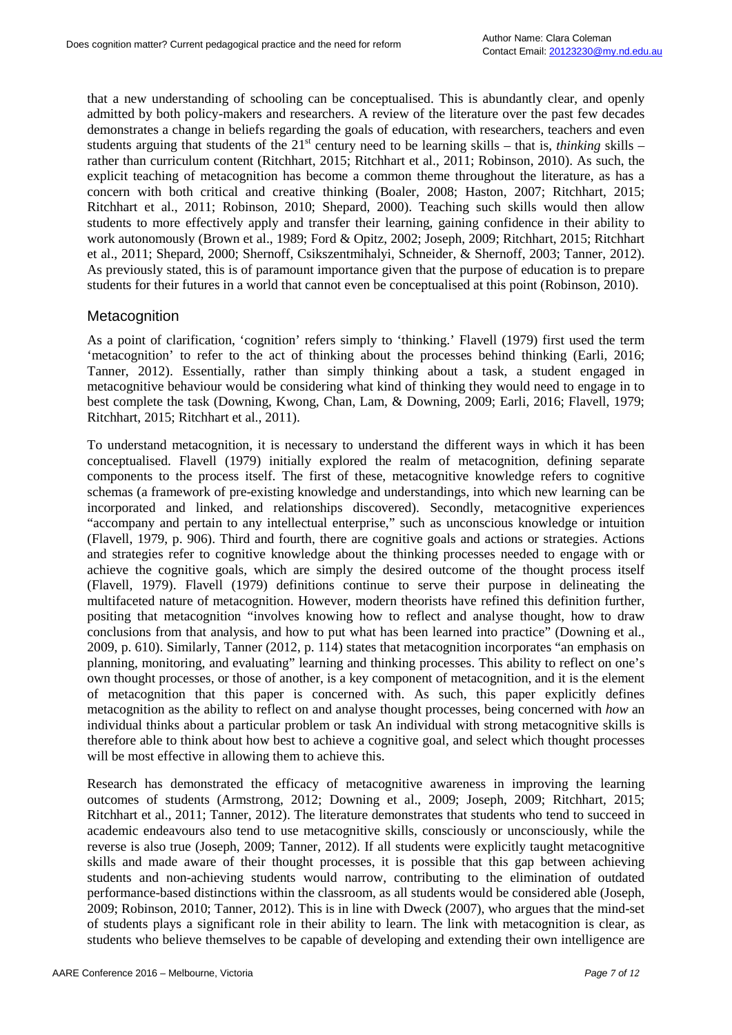that a new understanding of schooling can be conceptualised. This is abundantly clear, and openly admitted by both policy-makers and researchers. A review of the literature over the past few decades demonstrates a change in beliefs regarding the goals of education, with researchers, teachers and even students arguing that students of the  $21<sup>st</sup>$  century need to be learning skills – that is, *thinking* skills – rather than curriculum content (Ritchhart, 2015; Ritchhart et al., 2011; Robinson, 2010). As such, the explicit teaching of metacognition has become a common theme throughout the literature, as has a concern with both critical and creative thinking (Boaler, 2008; Haston, 2007; Ritchhart, 2015; Ritchhart et al., 2011; Robinson, 2010; Shepard, 2000). Teaching such skills would then allow students to more effectively apply and transfer their learning, gaining confidence in their ability to work autonomously (Brown et al., 1989; Ford & Opitz, 2002; Joseph, 2009; Ritchhart, 2015; Ritchhart et al., 2011; Shepard, 2000; Shernoff, Csikszentmihalyi, Schneider, & Shernoff, 2003; Tanner, 2012). As previously stated, this is of paramount importance given that the purpose of education is to prepare students for their futures in a world that cannot even be conceptualised at this point (Robinson, 2010).

#### **Metacognition**

As a point of clarification, 'cognition' refers simply to 'thinking.' Flavell (1979) first used the term 'metacognition' to refer to the act of thinking about the processes behind thinking (Earli, 2016; Tanner, 2012). Essentially, rather than simply thinking about a task, a student engaged in metacognitive behaviour would be considering what kind of thinking they would need to engage in to best complete the task (Downing, Kwong, Chan, Lam, & Downing, 2009; Earli, 2016; Flavell, 1979; Ritchhart, 2015; Ritchhart et al., 2011).

To understand metacognition, it is necessary to understand the different ways in which it has been conceptualised. Flavell (1979) initially explored the realm of metacognition, defining separate components to the process itself. The first of these, metacognitive knowledge refers to cognitive schemas (a framework of pre-existing knowledge and understandings, into which new learning can be incorporated and linked, and relationships discovered). Secondly, metacognitive experiences "accompany and pertain to any intellectual enterprise," such as unconscious knowledge or intuition (Flavell, 1979, p. 906). Third and fourth, there are cognitive goals and actions or strategies. Actions and strategies refer to cognitive knowledge about the thinking processes needed to engage with or achieve the cognitive goals, which are simply the desired outcome of the thought process itself (Flavell, 1979). Flavell (1979) definitions continue to serve their purpose in delineating the multifaceted nature of metacognition. However, modern theorists have refined this definition further, positing that metacognition "involves knowing how to reflect and analyse thought, how to draw conclusions from that analysis, and how to put what has been learned into practice" (Downing et al., 2009, p. 610). Similarly, Tanner (2012, p. 114) states that metacognition incorporates "an emphasis on planning, monitoring, and evaluating" learning and thinking processes. This ability to reflect on one's own thought processes, or those of another, is a key component of metacognition, and it is the element of metacognition that this paper is concerned with. As such, this paper explicitly defines metacognition as the ability to reflect on and analyse thought processes, being concerned with *how* an individual thinks about a particular problem or task An individual with strong metacognitive skills is therefore able to think about how best to achieve a cognitive goal, and select which thought processes will be most effective in allowing them to achieve this.

Research has demonstrated the efficacy of metacognitive awareness in improving the learning outcomes of students (Armstrong, 2012; Downing et al., 2009; Joseph, 2009; Ritchhart, 2015; Ritchhart et al., 2011; Tanner, 2012). The literature demonstrates that students who tend to succeed in academic endeavours also tend to use metacognitive skills, consciously or unconsciously, while the reverse is also true (Joseph, 2009; Tanner, 2012). If all students were explicitly taught metacognitive skills and made aware of their thought processes, it is possible that this gap between achieving students and non-achieving students would narrow, contributing to the elimination of outdated performance-based distinctions within the classroom, as all students would be considered able (Joseph, 2009; Robinson, 2010; Tanner, 2012). This is in line with Dweck (2007), who argues that the mind-set of students plays a significant role in their ability to learn. The link with metacognition is clear, as students who believe themselves to be capable of developing and extending their own intelligence are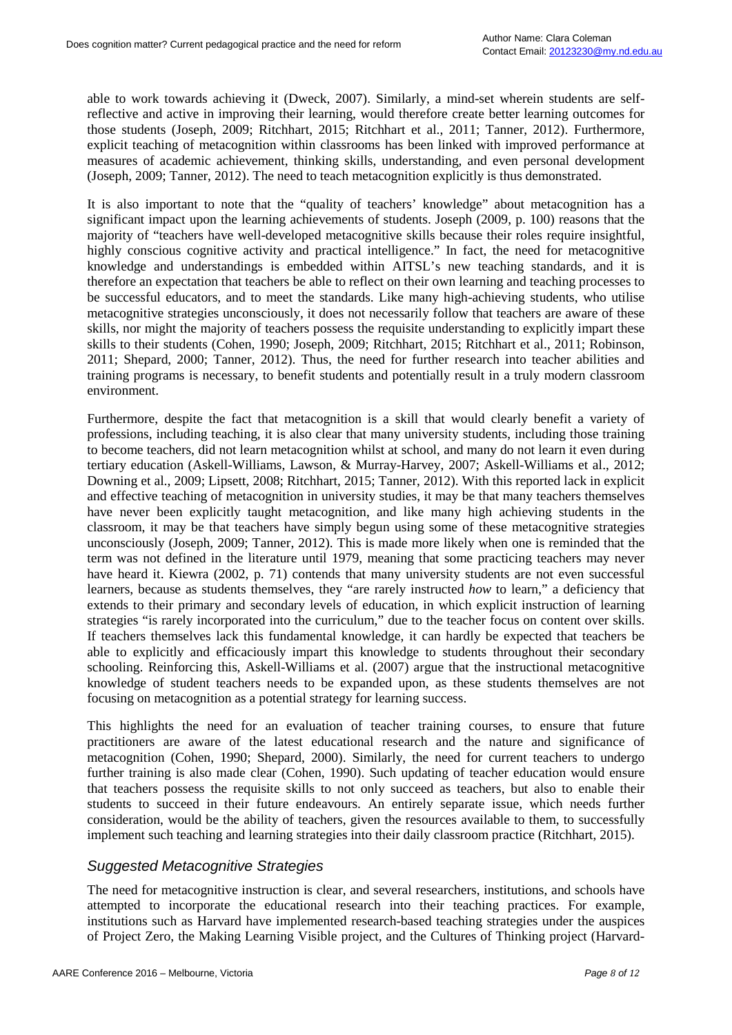able to work towards achieving it (Dweck, 2007). Similarly, a mind-set wherein students are selfreflective and active in improving their learning, would therefore create better learning outcomes for those students (Joseph, 2009; Ritchhart, 2015; Ritchhart et al., 2011; Tanner, 2012). Furthermore, explicit teaching of metacognition within classrooms has been linked with improved performance at measures of academic achievement, thinking skills, understanding, and even personal development (Joseph, 2009; Tanner, 2012). The need to teach metacognition explicitly is thus demonstrated.

It is also important to note that the "quality of teachers' knowledge" about metacognition has a significant impact upon the learning achievements of students. Joseph (2009, p. 100) reasons that the majority of "teachers have well-developed metacognitive skills because their roles require insightful, highly conscious cognitive activity and practical intelligence." In fact, the need for metacognitive knowledge and understandings is embedded within AITSL's new teaching standards, and it is therefore an expectation that teachers be able to reflect on their own learning and teaching processes to be successful educators, and to meet the standards. Like many high-achieving students, who utilise metacognitive strategies unconsciously, it does not necessarily follow that teachers are aware of these skills, nor might the majority of teachers possess the requisite understanding to explicitly impart these skills to their students (Cohen, 1990; Joseph, 2009; Ritchhart, 2015; Ritchhart et al., 2011; Robinson, 2011; Shepard, 2000; Tanner, 2012). Thus, the need for further research into teacher abilities and training programs is necessary, to benefit students and potentially result in a truly modern classroom environment.

Furthermore, despite the fact that metacognition is a skill that would clearly benefit a variety of professions, including teaching, it is also clear that many university students, including those training to become teachers, did not learn metacognition whilst at school, and many do not learn it even during tertiary education (Askell-Williams, Lawson, & Murray-Harvey, 2007; Askell-Williams et al., 2012; Downing et al., 2009; Lipsett, 2008; Ritchhart, 2015; Tanner, 2012). With this reported lack in explicit and effective teaching of metacognition in university studies, it may be that many teachers themselves have never been explicitly taught metacognition, and like many high achieving students in the classroom, it may be that teachers have simply begun using some of these metacognitive strategies unconsciously (Joseph, 2009; Tanner, 2012). This is made more likely when one is reminded that the term was not defined in the literature until 1979, meaning that some practicing teachers may never have heard it. Kiewra (2002, p. 71) contends that many university students are not even successful learners, because as students themselves, they "are rarely instructed *how* to learn," a deficiency that extends to their primary and secondary levels of education, in which explicit instruction of learning strategies "is rarely incorporated into the curriculum," due to the teacher focus on content over skills. If teachers themselves lack this fundamental knowledge, it can hardly be expected that teachers be able to explicitly and efficaciously impart this knowledge to students throughout their secondary schooling. Reinforcing this, Askell-Williams et al. (2007) argue that the instructional metacognitive knowledge of student teachers needs to be expanded upon, as these students themselves are not focusing on metacognition as a potential strategy for learning success.

This highlights the need for an evaluation of teacher training courses, to ensure that future practitioners are aware of the latest educational research and the nature and significance of metacognition (Cohen, 1990; Shepard, 2000). Similarly, the need for current teachers to undergo further training is also made clear (Cohen, 1990). Such updating of teacher education would ensure that teachers possess the requisite skills to not only succeed as teachers, but also to enable their students to succeed in their future endeavours. An entirely separate issue, which needs further consideration, would be the ability of teachers, given the resources available to them, to successfully implement such teaching and learning strategies into their daily classroom practice (Ritchhart, 2015).

#### *Suggested Metacognitive Strategies*

The need for metacognitive instruction is clear, and several researchers, institutions, and schools have attempted to incorporate the educational research into their teaching practices. For example, institutions such as Harvard have implemented research-based teaching strategies under the auspices of Project Zero, the Making Learning Visible project, and the Cultures of Thinking project (Harvard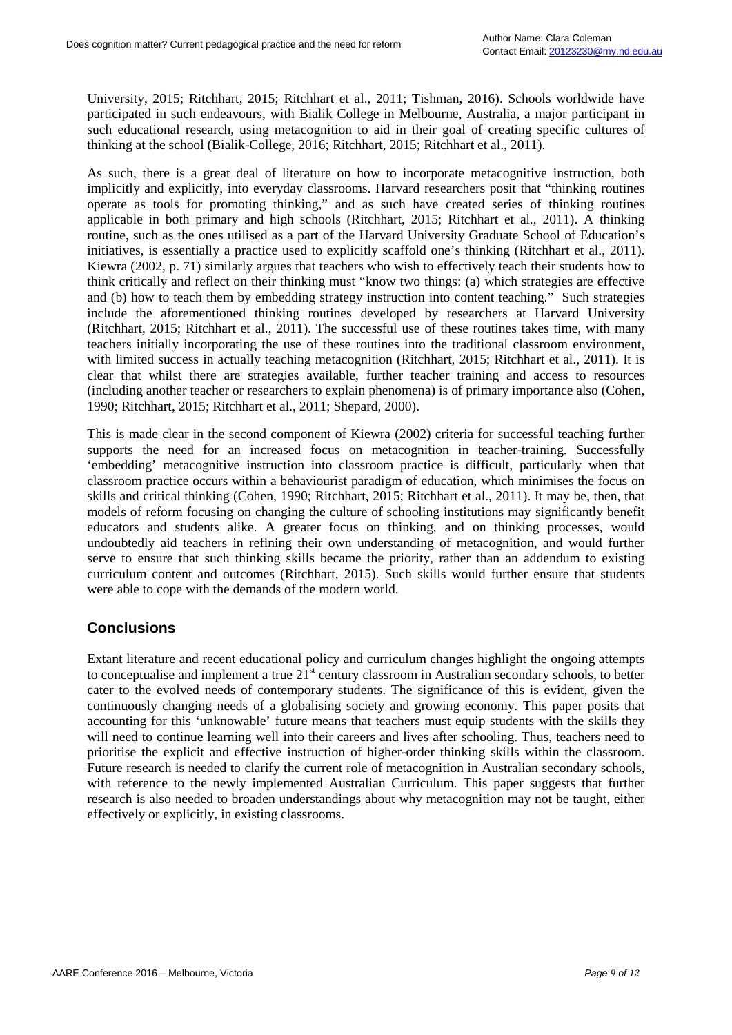University, 2015; Ritchhart, 2015; Ritchhart et al., 2011; Tishman, 2016). Schools worldwide have participated in such endeavours, with Bialik College in Melbourne, Australia, a major participant in such educational research, using metacognition to aid in their goal of creating specific cultures of thinking at the school (Bialik-College, 2016; Ritchhart, 2015; Ritchhart et al., 2011).

As such, there is a great deal of literature on how to incorporate metacognitive instruction, both implicitly and explicitly, into everyday classrooms. Harvard researchers posit that "thinking routines operate as tools for promoting thinking," and as such have created series of thinking routines applicable in both primary and high schools (Ritchhart, 2015; Ritchhart et al., 2011). A thinking routine, such as the ones utilised as a part of the Harvard University Graduate School of Education's initiatives, is essentially a practice used to explicitly scaffold one's thinking (Ritchhart et al., 2011). Kiewra (2002, p. 71) similarly argues that teachers who wish to effectively teach their students how to think critically and reflect on their thinking must "know two things: (a) which strategies are effective and (b) how to teach them by embedding strategy instruction into content teaching." Such strategies include the aforementioned thinking routines developed by researchers at Harvard University (Ritchhart, 2015; Ritchhart et al., 2011). The successful use of these routines takes time, with many teachers initially incorporating the use of these routines into the traditional classroom environment, with limited success in actually teaching metacognition (Ritchhart, 2015; Ritchhart et al., 2011). It is clear that whilst there are strategies available, further teacher training and access to resources (including another teacher or researchers to explain phenomena) is of primary importance also (Cohen, 1990; Ritchhart, 2015; Ritchhart et al., 2011; Shepard, 2000).

This is made clear in the second component of Kiewra (2002) criteria for successful teaching further supports the need for an increased focus on metacognition in teacher-training. Successfully 'embedding' metacognitive instruction into classroom practice is difficult, particularly when that classroom practice occurs within a behaviourist paradigm of education, which minimises the focus on skills and critical thinking (Cohen, 1990; Ritchhart, 2015; Ritchhart et al., 2011). It may be, then, that models of reform focusing on changing the culture of schooling institutions may significantly benefit educators and students alike. A greater focus on thinking, and on thinking processes, would undoubtedly aid teachers in refining their own understanding of metacognition, and would further serve to ensure that such thinking skills became the priority, rather than an addendum to existing curriculum content and outcomes (Ritchhart, 2015). Such skills would further ensure that students were able to cope with the demands of the modern world.

## **Conclusions**

Extant literature and recent educational policy and curriculum changes highlight the ongoing attempts to conceptualise and implement a true  $21<sup>st</sup>$  century classroom in Australian secondary schools, to better cater to the evolved needs of contemporary students. The significance of this is evident, given the continuously changing needs of a globalising society and growing economy. This paper posits that accounting for this 'unknowable' future means that teachers must equip students with the skills they will need to continue learning well into their careers and lives after schooling. Thus, teachers need to prioritise the explicit and effective instruction of higher-order thinking skills within the classroom. Future research is needed to clarify the current role of metacognition in Australian secondary schools, with reference to the newly implemented Australian Curriculum. This paper suggests that further research is also needed to broaden understandings about why metacognition may not be taught, either effectively or explicitly, in existing classrooms.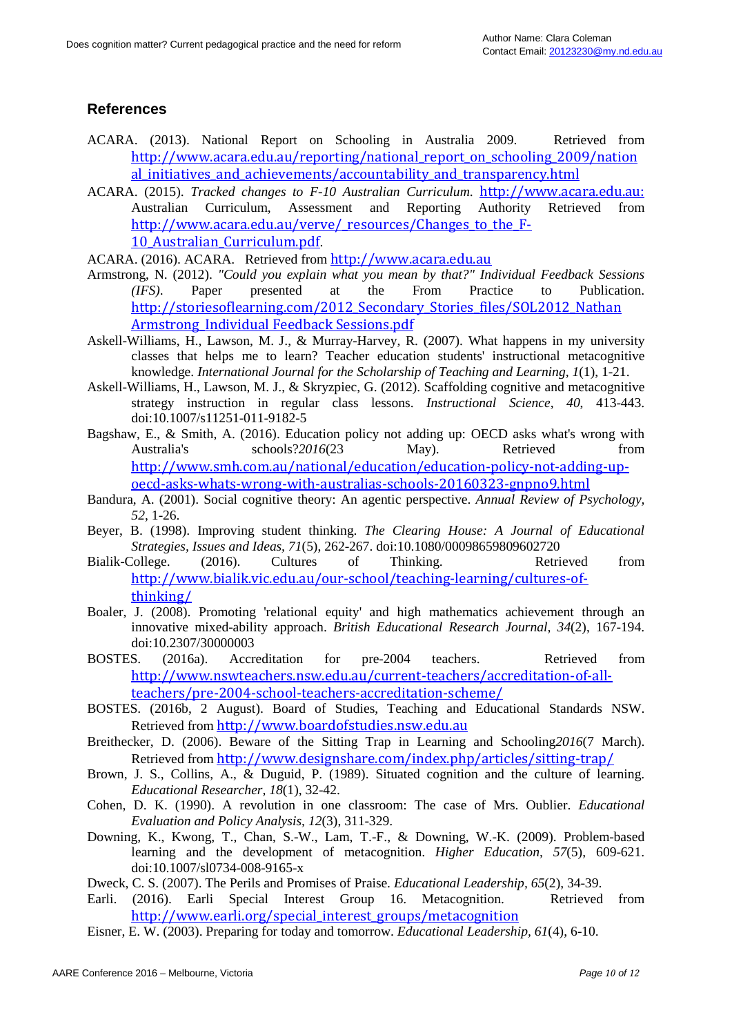# **References**

- ACARA. (2013). National Report on Schooling in Australia 2009. Retrieved from http://www.acara.edu.au/reporting/national report on schooling 2009/nation al initiatives and achievements/accountability and transparency.html
- ACARA. (2015). *Tracked changes to F-10 Australian Curriculum*. [http://www.acara.edu.au:](http://www.acara.edu.au/) Australian Curriculum, Assessment and Reporting Authority Retrieved from http://www.acara.edu.au/verve/ resources/Changes to the F-10 Australian Curriculum.pdf.
- ACARA. (2016). ACARA. Retrieved from [http://www.acara.edu.au](http://www.acara.edu.au/)
- Armstrong, N. (2012). *"Could you explain what you mean by that?" Individual Feedback Sessions (IFS)*. Paper presented at the From Practice to Publication. http://storiesoflearning.com/2012\_Secondary\_Stories\_files/SOL2012\_Nathan [Armstrong\\_Individual Feedback Sessions.pdf](http://storiesoflearning.com/2012_Secondary_Stories_files/SOL2012_Nathan%20Armstrong_Individual%20Feedback%20Sessions.pdf)
- Askell-Williams, H., Lawson, M. J., & Murray-Harvey, R. (2007). What happens in my university classes that helps me to learn? Teacher education students' instructional metacognitive knowledge. *International Journal for the Scholarship of Teaching and Learning, 1*(1), 1-21.
- Askell-Williams, H., Lawson, M. J., & Skryzpiec, G. (2012). Scaffolding cognitive and metacognitive strategy instruction in regular class lessons. *Instructional Science, 40*, 413-443. doi:10.1007/s11251-011-9182-5
- Bagshaw, E., & Smith, A. (2016). Education policy not adding up: OECD asks what's wrong with Australia's schools?2016(23 May). Retrieved from [http://www.smh.com.au/national/education/education-policy-not-adding-up](http://www.smh.com.au/national/education/education-policy-not-adding-up-oecd-asks-whats-wrong-with-australias-schools-20160323-gnpno9.html)[oecd-asks-whats-wrong-with-australias-schools-20160323-gnpno9.html](http://www.smh.com.au/national/education/education-policy-not-adding-up-oecd-asks-whats-wrong-with-australias-schools-20160323-gnpno9.html)
- Bandura, A. (2001). Social cognitive theory: An agentic perspective. *Annual Review of Psychology, 52*, 1-26.
- Beyer, B. (1998). Improving student thinking. *The Clearing House: A Journal of Educational Strategies, Issues and Ideas, 71*(5), 262-267. doi:10.1080/00098659809602720
- Bialik-College. (2016). Cultures of Thinking. Retrieved from [http://www.bialik.vic.edu.au/our-school/teaching-learning/cultures-of](http://www.bialik.vic.edu.au/our-school/teaching-learning/cultures-of-thinking/)[thinking/](http://www.bialik.vic.edu.au/our-school/teaching-learning/cultures-of-thinking/)
- Boaler, J. (2008). Promoting 'relational equity' and high mathematics achievement through an innovative mixed-ability approach. *British Educational Research Journal, 34*(2), 167-194. doi:10.2307/30000003
- BOSTES. (2016a). Accreditation for pre-2004 teachers. Retrieved from [http://www.nswteachers.nsw.edu.au/current-teachers/accreditation-of-all](http://www.nswteachers.nsw.edu.au/current-teachers/accreditation-of-all-teachers/pre-2004-school-teachers-accreditation-scheme/)[teachers/pre-2004-school-teachers-accreditation-scheme/](http://www.nswteachers.nsw.edu.au/current-teachers/accreditation-of-all-teachers/pre-2004-school-teachers-accreditation-scheme/)
- BOSTES. (2016b, 2 August). Board of Studies, Teaching and Educational Standards NSW. Retrieved from [http://www.boardofstudies.nsw.edu.au](http://www.boardofstudies.nsw.edu.au/)
- Breithecker, D. (2006). Beware of the Sitting Trap in Learning and Schooling*2016*(7 March). Retrieved from <http://www.designshare.com/index.php/articles/sitting-trap/>
- Brown, J. S., Collins, A., & Duguid, P. (1989). Situated cognition and the culture of learning. *Educational Researcher, 18*(1), 32-42.
- Cohen, D. K. (1990). A revolution in one classroom: The case of Mrs. Oublier. *Educational Evaluation and Policy Analysis, 12*(3), 311-329.
- Downing, K., Kwong, T., Chan, S.-W., Lam, T.-F., & Downing, W.-K. (2009). Problem-based learning and the development of metacognition. *Higher Education, 57*(5), 609-621. doi:10.1007/sl0734-008-9165-x
- Dweck, C. S. (2007). The Perils and Promises of Praise. *Educational Leadership, 65*(2), 34-39.
- Earli. (2016). Earli Special Interest Group 16. Metacognition. Retrieved from [http://www.earli.org/special\\_interest\\_groups/metacognition](http://www.earli.org/special_interest_groups/metacognition)
- Eisner, E. W. (2003). Preparing for today and tomorrow. *Educational Leadership, 61*(4), 6-10.